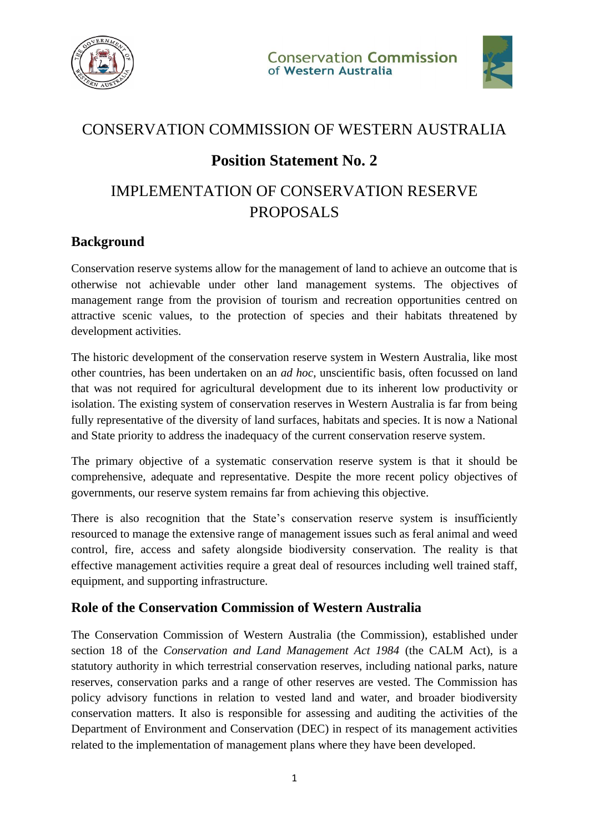



### CONSERVATION COMMISSION OF WESTERN AUSTRALIA

## **Position Statement No. 2**

# IMPLEMENTATION OF CONSERVATION RESERVE PROPOSALS

#### **Background**

Conservation reserve systems allow for the management of land to achieve an outcome that is otherwise not achievable under other land management systems. The objectives of management range from the provision of tourism and recreation opportunities centred on attractive scenic values, to the protection of species and their habitats threatened by development activities.

The historic development of the conservation reserve system in Western Australia, like most other countries, has been undertaken on an *ad hoc*, unscientific basis, often focussed on land that was not required for agricultural development due to its inherent low productivity or isolation. The existing system of conservation reserves in Western Australia is far from being fully representative of the diversity of land surfaces, habitats and species. It is now a National and State priority to address the inadequacy of the current conservation reserve system.

The primary objective of a systematic conservation reserve system is that it should be comprehensive, adequate and representative. Despite the more recent policy objectives of governments, our reserve system remains far from achieving this objective.

There is also recognition that the State's conservation reserve system is insufficiently resourced to manage the extensive range of management issues such as feral animal and weed control, fire, access and safety alongside biodiversity conservation. The reality is that effective management activities require a great deal of resources including well trained staff, equipment, and supporting infrastructure.

#### **Role of the Conservation Commission of Western Australia**

The Conservation Commission of Western Australia (the Commission), established under section 18 of the *Conservation and Land Management Act 1984* (the CALM Act), is a statutory authority in which terrestrial conservation reserves, including national parks, nature reserves, conservation parks and a range of other reserves are vested. The Commission has policy advisory functions in relation to vested land and water, and broader biodiversity conservation matters. It also is responsible for assessing and auditing the activities of the Department of Environment and Conservation (DEC) in respect of its management activities related to the implementation of management plans where they have been developed.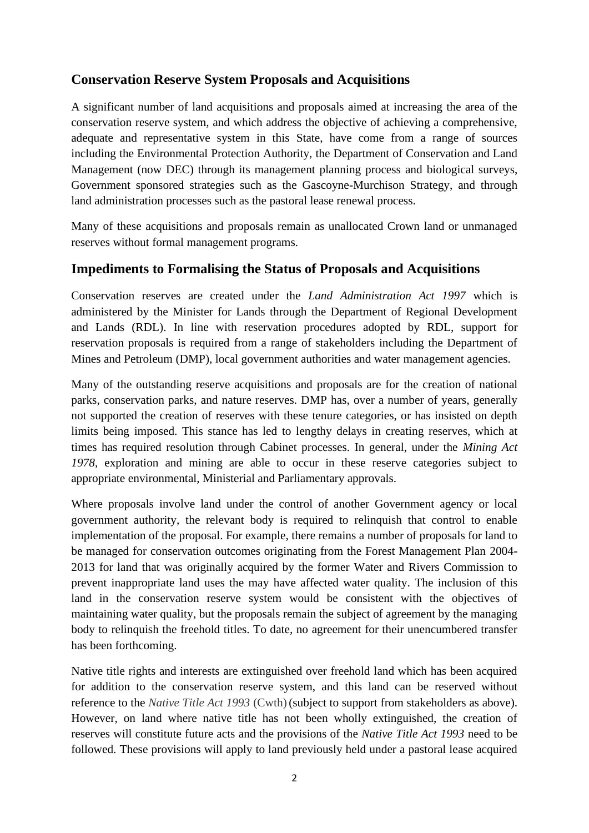#### **Conservation Reserve System Proposals and Acquisitions**

A significant number of land acquisitions and proposals aimed at increasing the area of the conservation reserve system, and which address the objective of achieving a comprehensive, adequate and representative system in this State, have come from a range of sources including the Environmental Protection Authority, the Department of Conservation and Land Management (now DEC) through its management planning process and biological surveys, Government sponsored strategies such as the Gascoyne-Murchison Strategy, and through land administration processes such as the pastoral lease renewal process.

Many of these acquisitions and proposals remain as unallocated Crown land or unmanaged reserves without formal management programs.

#### **Impediments to Formalising the Status of Proposals and Acquisitions**

Conservation reserves are created under the *Land Administration Act 1997* which is administered by the Minister for Lands through the Department of Regional Development and Lands (RDL). In line with reservation procedures adopted by RDL, support for reservation proposals is required from a range of stakeholders including the Department of Mines and Petroleum (DMP), local government authorities and water management agencies.

Many of the outstanding reserve acquisitions and proposals are for the creation of national parks, conservation parks, and nature reserves. DMP has, over a number of years, generally not supported the creation of reserves with these tenure categories, or has insisted on depth limits being imposed. This stance has led to lengthy delays in creating reserves, which at times has required resolution through Cabinet processes. In general, under the *Mining Act 1978*, exploration and mining are able to occur in these reserve categories subject to appropriate environmental, Ministerial and Parliamentary approvals.

Where proposals involve land under the control of another Government agency or local government authority, the relevant body is required to relinquish that control to enable implementation of the proposal. For example, there remains a number of proposals for land to be managed for conservation outcomes originating from the Forest Management Plan 2004- 2013 for land that was originally acquired by the former Water and Rivers Commission to prevent inappropriate land uses the may have affected water quality. The inclusion of this land in the conservation reserve system would be consistent with the objectives of maintaining water quality, but the proposals remain the subject of agreement by the managing body to relinquish the freehold titles. To date, no agreement for their unencumbered transfer has been forthcoming.

Native title rights and interests are extinguished over freehold land which has been acquired for addition to the conservation reserve system, and this land can be reserved without reference to the *Native Title Act 1993* (Cwth)(subject to support from stakeholders as above). However, on land where native title has not been wholly extinguished, the creation of reserves will constitute future acts and the provisions of the *Native Title Act 1993* need to be followed. These provisions will apply to land previously held under a pastoral lease acquired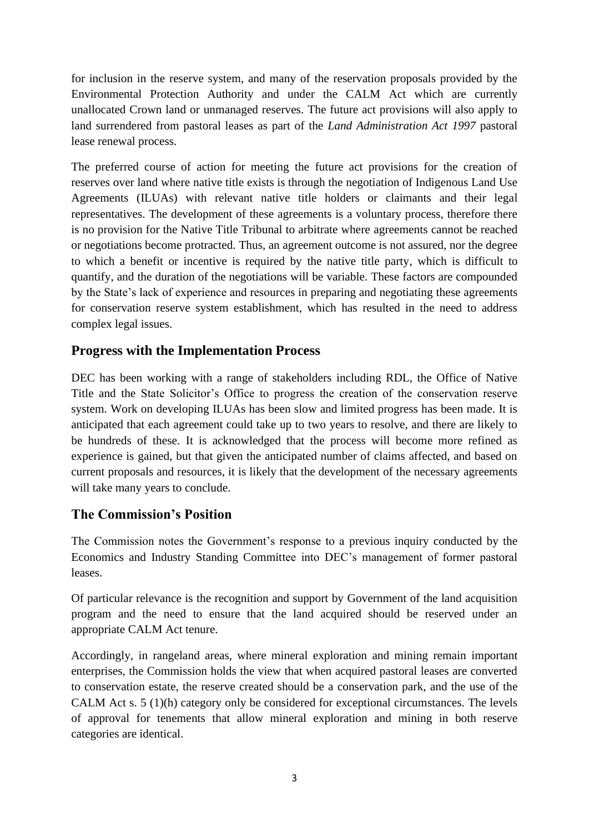for inclusion in the reserve system, and many of the reservation proposals provided by the Environmental Protection Authority and under the CALM Act which are currently unallocated Crown land or unmanaged reserves. The future act provisions will also apply to land surrendered from pastoral leases as part of the *Land Administration Act 1997* pastoral lease renewal process.

The preferred course of action for meeting the future act provisions for the creation of reserves over land where native title exists is through the negotiation of Indigenous Land Use Agreements (ILUAs) with relevant native title holders or claimants and their legal representatives. The development of these agreements is a voluntary process, therefore there is no provision for the Native Title Tribunal to arbitrate where agreements cannot be reached or negotiations become protracted. Thus, an agreement outcome is not assured, nor the degree to which a benefit or incentive is required by the native title party, which is difficult to quantify, and the duration of the negotiations will be variable. These factors are compounded by the State's lack of experience and resources in preparing and negotiating these agreements for conservation reserve system establishment, which has resulted in the need to address complex legal issues.

#### **Progress with the Implementation Process**

DEC has been working with a range of stakeholders including RDL, the Office of Native Title and the State Solicitor's Office to progress the creation of the conservation reserve system. Work on developing ILUAs has been slow and limited progress has been made. It is anticipated that each agreement could take up to two years to resolve, and there are likely to be hundreds of these. It is acknowledged that the process will become more refined as experience is gained, but that given the anticipated number of claims affected, and based on current proposals and resources, it is likely that the development of the necessary agreements will take many years to conclude.

#### **The Commission's Position**

The Commission notes the Government's response to a previous inquiry conducted by the Economics and Industry Standing Committee into DEC's management of former pastoral leases.

Of particular relevance is the recognition and support by Government of the land acquisition program and the need to ensure that the land acquired should be reserved under an appropriate CALM Act tenure.

Accordingly, in rangeland areas, where mineral exploration and mining remain important enterprises, the Commission holds the view that when acquired pastoral leases are converted to conservation estate, the reserve created should be a conservation park, and the use of the CALM Act s. 5 (1)(h) category only be considered for exceptional circumstances. The levels of approval for tenements that allow mineral exploration and mining in both reserve categories are identical.